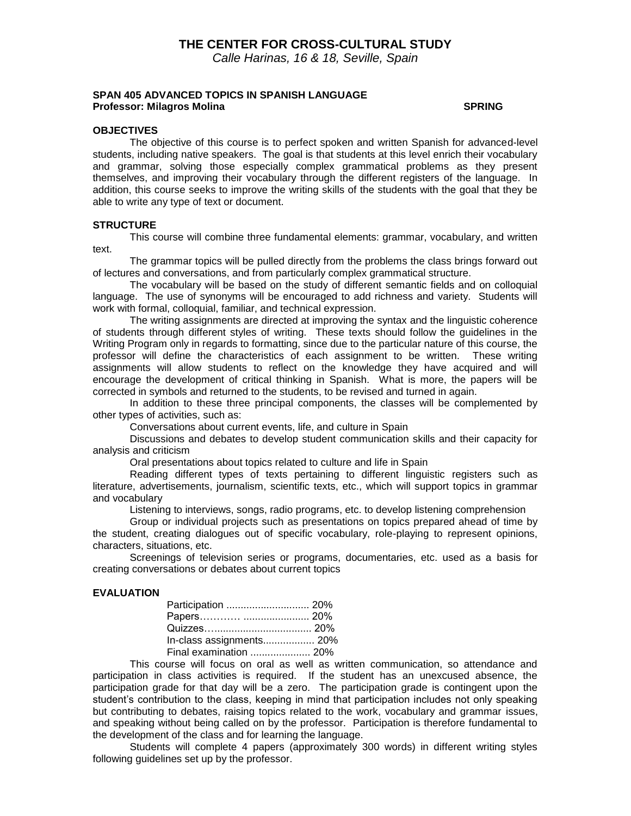# **THE CENTER FOR CROSS-CULTURAL STUDY**

*Calle Harinas, 16 & 18, Seville, Spain*

#### **SPAN 405 ADVANCED TOPICS IN SPANISH LANGUAGE Professor: Milagros Molina SPRING**

#### **OBJECTIVES**

The objective of this course is to perfect spoken and written Spanish for advanced-level students, including native speakers. The goal is that students at this level enrich their vocabulary and grammar, solving those especially complex grammatical problems as they present themselves, and improving their vocabulary through the different registers of the language. In addition, this course seeks to improve the writing skills of the students with the goal that they be able to write any type of text or document.

#### **STRUCTURE**

This course will combine three fundamental elements: grammar, vocabulary, and written text.

The grammar topics will be pulled directly from the problems the class brings forward out of lectures and conversations, and from particularly complex grammatical structure.

The vocabulary will be based on the study of different semantic fields and on colloquial language. The use of synonyms will be encouraged to add richness and variety. Students will work with formal, colloquial, familiar, and technical expression.

The writing assignments are directed at improving the syntax and the linguistic coherence of students through different styles of writing. These texts should follow the guidelines in the Writing Program only in regards to formatting, since due to the particular nature of this course, the professor will define the characteristics of each assignment to be written. These writing assignments will allow students to reflect on the knowledge they have acquired and will encourage the development of critical thinking in Spanish. What is more, the papers will be corrected in symbols and returned to the students, to be revised and turned in again.

In addition to these three principal components, the classes will be complemented by other types of activities, such as:

Conversations about current events, life, and culture in Spain

Discussions and debates to develop student communication skills and their capacity for analysis and criticism

Oral presentations about topics related to culture and life in Spain

Reading different types of texts pertaining to different linguistic registers such as literature, advertisements, journalism, scientific texts, etc., which will support topics in grammar and vocabulary

Listening to interviews, songs, radio programs, etc. to develop listening comprehension

Group or individual projects such as presentations on topics prepared ahead of time by the student, creating dialogues out of specific vocabulary, role-playing to represent opinions, characters, situations, etc.

Screenings of television series or programs, documentaries, etc. used as a basis for creating conversations or debates about current topics

#### **EVALUATION**

| Participation  20%       |  |
|--------------------------|--|
|                          |  |
|                          |  |
| In-class assignments 20% |  |
| Final examination  20%   |  |

This course will focus on oral as well as written communication, so attendance and participation in class activities is required. If the student has an unexcused absence, the participation grade for that day will be a zero. The participation grade is contingent upon the student's contribution to the class, keeping in mind that participation includes not only speaking but contributing to debates, raising topics related to the work, vocabulary and grammar issues, and speaking without being called on by the professor. Participation is therefore fundamental to the development of the class and for learning the language.

Students will complete 4 papers (approximately 300 words) in different writing styles following guidelines set up by the professor.